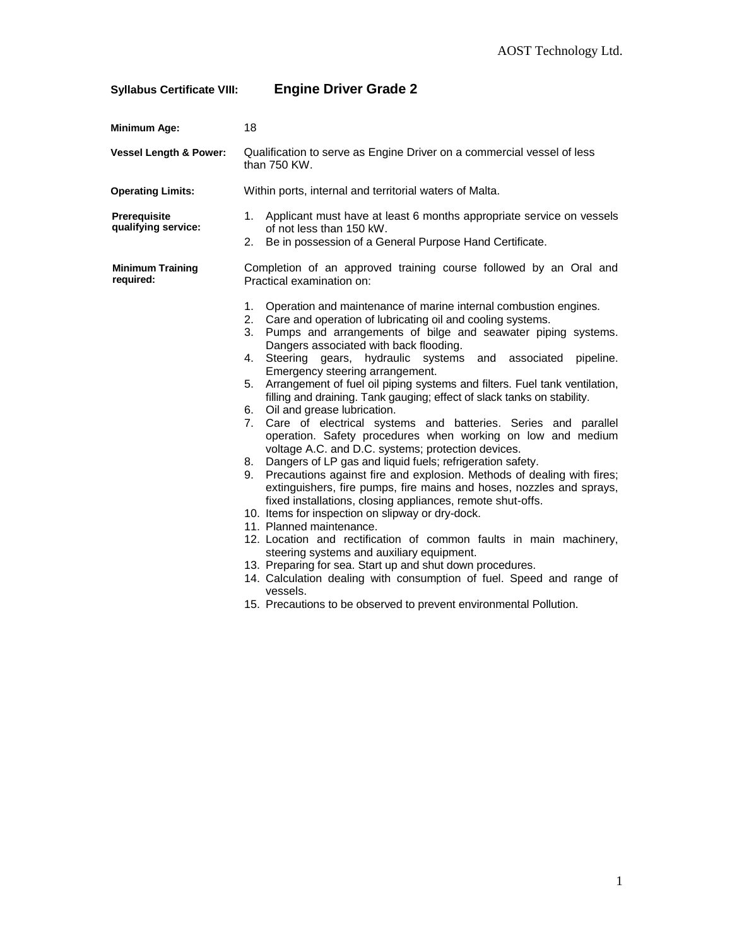## **Syllabus Certificate VIII: Engine Driver Grade 2**

| <b>Minimum Age:</b>                        | 18                                                                                                                                                                                                                                                                                                                                                                                                                                                                                                                                                                                                                                                                                                                                                                                                                                                                                                                                                                                                                                                                                                                                                                                                                                                                                                                                                                                                                                                                             |
|--------------------------------------------|--------------------------------------------------------------------------------------------------------------------------------------------------------------------------------------------------------------------------------------------------------------------------------------------------------------------------------------------------------------------------------------------------------------------------------------------------------------------------------------------------------------------------------------------------------------------------------------------------------------------------------------------------------------------------------------------------------------------------------------------------------------------------------------------------------------------------------------------------------------------------------------------------------------------------------------------------------------------------------------------------------------------------------------------------------------------------------------------------------------------------------------------------------------------------------------------------------------------------------------------------------------------------------------------------------------------------------------------------------------------------------------------------------------------------------------------------------------------------------|
| <b>Vessel Length &amp; Power:</b>          | Qualification to serve as Engine Driver on a commercial vessel of less<br>than 750 KW.                                                                                                                                                                                                                                                                                                                                                                                                                                                                                                                                                                                                                                                                                                                                                                                                                                                                                                                                                                                                                                                                                                                                                                                                                                                                                                                                                                                         |
| <b>Operating Limits:</b>                   | Within ports, internal and territorial waters of Malta.                                                                                                                                                                                                                                                                                                                                                                                                                                                                                                                                                                                                                                                                                                                                                                                                                                                                                                                                                                                                                                                                                                                                                                                                                                                                                                                                                                                                                        |
| <b>Prerequisite</b><br>qualifying service: | 1. Applicant must have at least 6 months appropriate service on vessels<br>of not less than 150 kW.<br>Be in possession of a General Purpose Hand Certificate.<br>2.                                                                                                                                                                                                                                                                                                                                                                                                                                                                                                                                                                                                                                                                                                                                                                                                                                                                                                                                                                                                                                                                                                                                                                                                                                                                                                           |
| <b>Minimum Training</b><br>required:       | Completion of an approved training course followed by an Oral and<br>Practical examination on:                                                                                                                                                                                                                                                                                                                                                                                                                                                                                                                                                                                                                                                                                                                                                                                                                                                                                                                                                                                                                                                                                                                                                                                                                                                                                                                                                                                 |
|                                            | 1.<br>Operation and maintenance of marine internal combustion engines.<br>2. Care and operation of lubricating oil and cooling systems.<br>3. Pumps and arrangements of bilge and seawater piping systems.<br>Dangers associated with back flooding.<br>Steering gears, hydraulic systems<br>4.<br>and<br>associated<br>pipeline.<br>Emergency steering arrangement.<br>Arrangement of fuel oil piping systems and filters. Fuel tank ventilation,<br>5.<br>filling and draining. Tank gauging; effect of slack tanks on stability.<br>6. Oil and grease lubrication.<br>7. Care of electrical systems and batteries. Series and parallel<br>operation. Safety procedures when working on low and medium<br>voltage A.C. and D.C. systems; protection devices.<br>8. Dangers of LP gas and liquid fuels; refrigeration safety.<br>Precautions against fire and explosion. Methods of dealing with fires;<br>9.<br>extinguishers, fire pumps, fire mains and hoses, nozzles and sprays,<br>fixed installations, closing appliances, remote shut-offs.<br>10. Items for inspection on slipway or dry-dock.<br>11. Planned maintenance.<br>12. Location and rectification of common faults in main machinery,<br>steering systems and auxiliary equipment.<br>13. Preparing for sea. Start up and shut down procedures.<br>14. Calculation dealing with consumption of fuel. Speed and range of<br>vessels.<br>15. Precautions to be observed to prevent environmental Pollution. |